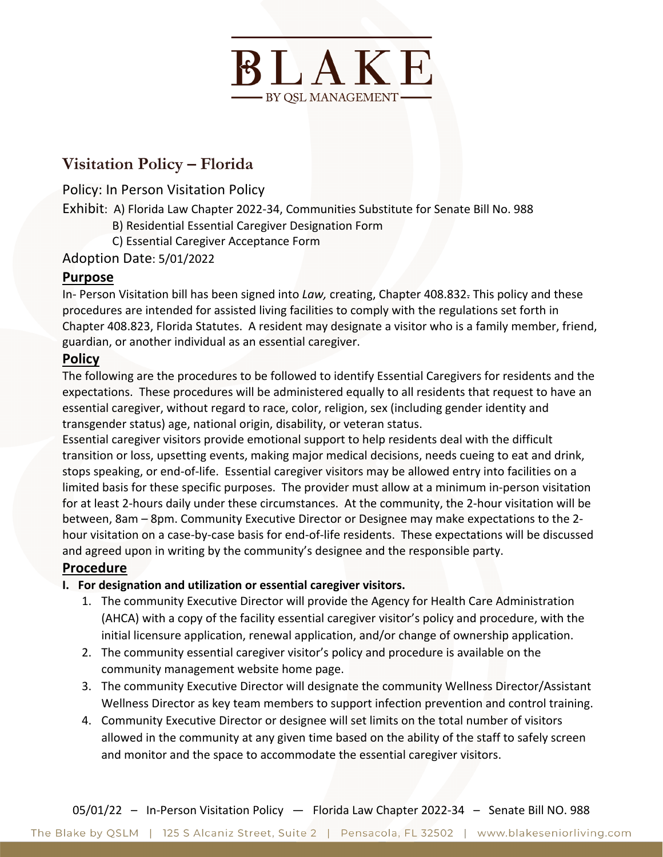

# **Visitation Policy – Florida**

Policy: In Person Visitation Policy

Exhibit: A) Florida Law Chapter 2022-34, Communities Substitute for Senate Bill No. 988

- B) Residential Essential Caregiver Designation Form
- C) Essential Caregiver Acceptance Form

Adoption Date: 5/01/2022

## **Purpose**

In- Person Visitation bill has been signed into *Law,* creating, Chapter 408.832. This policy and these procedures are intended for assisted living facilities to comply with the regulations set forth in Chapter 408.823, Florida Statutes. A resident may designate a visitor who is a family member, friend, guardian, or another individual as an essential caregiver.

#### **Policy**

The following are the procedures to be followed to identify Essential Caregivers for residents and the expectations. These procedures will be administered equally to all residents that request to have an essential caregiver, without regard to race, color, religion, sex (including gender identity and transgender status) age, national origin, disability, or veteran status.

Essential caregiver visitors provide emotional support to help residents deal with the difficult transition or loss, upsetting events, making major medical decisions, needs cueing to eat and drink, stops speaking, or end-of-life. Essential caregiver visitors may be allowed entry into facilities on a limited basis for these specific purposes. The provider must allow at a minimum in-person visitation for at least 2-hours daily under these circumstances. At the community, the 2-hour visitation will be between, 8am – 8pm. Community Executive Director or Designee may make expectations to the 2 hour visitation on a case-by-case basis for end-of-life residents. These expectations will be discussed and agreed upon in writing by the community's designee and the responsible party.

## **Procedure**

- **I. For designation and utilization or essential caregiver visitors.** 
	- 1. The community Executive Director will provide the Agency for Health Care Administration (AHCA) with a copy of the facility essential caregiver visitor's policy and procedure, with the initial licensure application, renewal application, and/or change of ownership application.
	- 2. The community essential caregiver visitor's policy and procedure is available on the community management website home page.
	- 3. The community Executive Director will designate the community Wellness Director/Assistant Wellness Director as key team members to support infection prevention and control training.
	- 4. Community Executive Director or designee will set limits on the total number of visitors allowed in the community at any given time based on the ability of the staff to safely screen and monitor and the space to accommodate the essential caregiver visitors.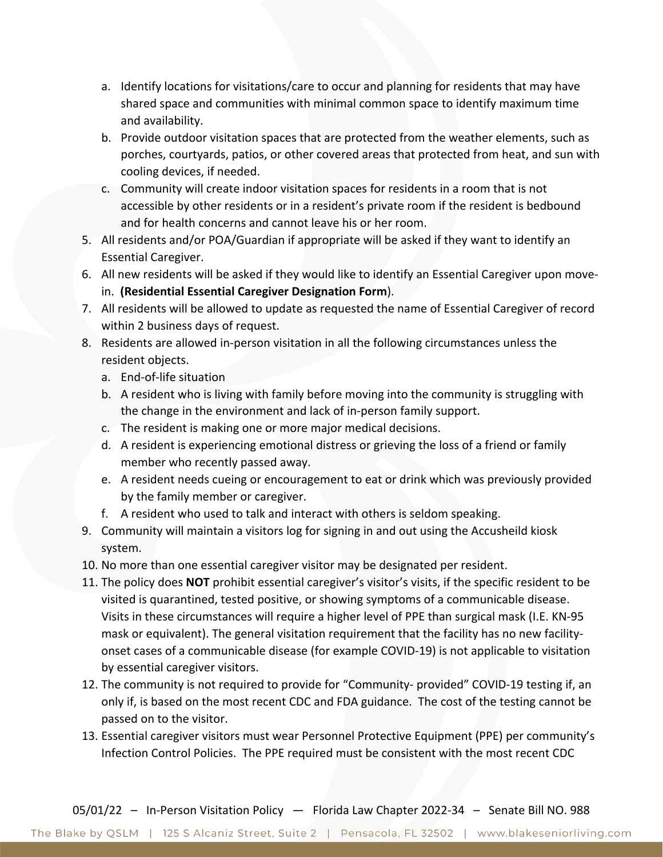- a. Identify locations for visitations/care to occur and planning for residents that may have shared space and communities with minimal common space to identify maximum time and availability.
- b. Provide outdoor visitation spaces that are protected from the weather elements, such as porches, courtyards, patios, or other covered areas that protected from heat, and sun with cooling devices, if needed.
- c. Community will create indoor visitation spaces for residents in a room that is not accessible by other residents or in a resident's private room if the resident is bedbound and for health concerns and cannot leave his or her room.
- 5. All residents and/or POA/Guardian if appropriate will be asked if they want to identify an Essential Caregiver.
- 6. All new residents will be asked if they would like to identify an Essential Caregiver upon movein. **(Residential Essential Caregiver Designation Form**).
- 7. All residents will be allowed to update as requested the name of Essential Caregiver of record within 2 business days of request.
- 8. Residents are allowed in-person visitation in all the following circumstances unless the resident objects.
	- a. End-of-life situation
	- b. A resident who is living with family before moving into the community is struggling with the change in the environment and lack of in-person family support.
	- c. The resident is making one or more major medical decisions.
	- d. A resident is experiencing emotional distress or grieving the loss of a friend or family member who recently passed away.
	- e. A resident needs cueing or encouragement to eat or drink which was previously provided by the family member or caregiver.
	- f. A resident who used to talk and interact with others is seldom speaking.
- 9. Community will maintain a visitors log for signing in and out using the Accusheild kiosk system.
- 10. No more than one essential caregiver visitor may be designated per resident.
- 11. The policy does **NOT** prohibit essential caregiver's visitor's visits, if the specific resident to be visited is quarantined, tested positive, or showing symptoms of a communicable disease. Visits in these circumstances will require a higher level of PPE than surgical mask (I.E. KN-95 mask or equivalent). The general visitation requirement that the facility has no new facilityonset cases of a communicable disease (for example COVID-19) is not applicable to visitation by essential caregiver visitors.
- 12. The community is not required to provide for "Community- provided" COVID-19 testing if, an only if, is based on the most recent CDC and FDA guidance. The cost of the testing cannot be passed on to the visitor.
- 13. Essential caregiver visitors must wear Personnel Protective Equipment (PPE) per community's Infection Control Policies. The PPE required must be consistent with the most recent CDC